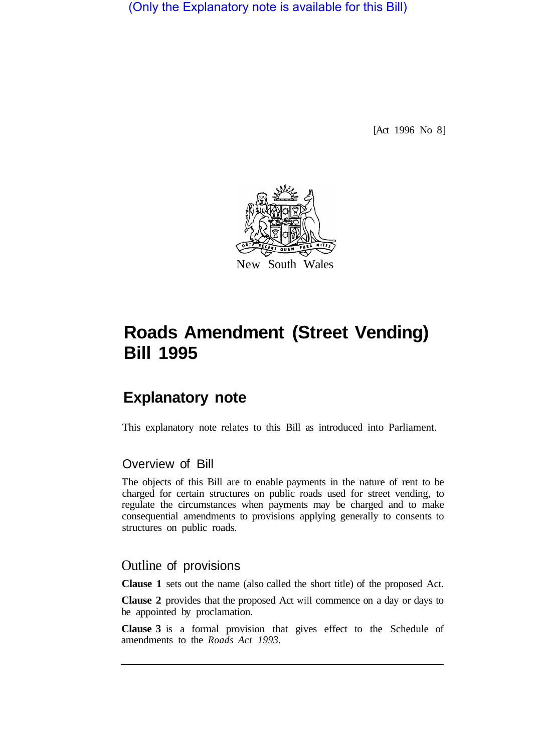(Only the Explanatory note is available for this Bill)

[Act 1996 No 8]



# **Roads Amendment (Street Vending) Bill 1995**

## **Explanatory note**

This explanatory note relates to this Bill as introduced into Parliament.

### Overview of Bill

The objects of this Bill are to enable payments in the nature of rent to be charged for certain structures on public roads used for street vending, to regulate the circumstances when payments may be charged and to make consequential amendments to provisions applying generally to consents to structures on public roads.

### Outline of provisions

**Clause 1** sets out the name (also called the short title) of the proposed Act.

**Clause 2** provides that the proposed Act will commence on a day or days to be appointed by proclamation.

**Clause 3** is a formal provision that gives effect to the Schedule of amendments to the *Roads Act 1993.*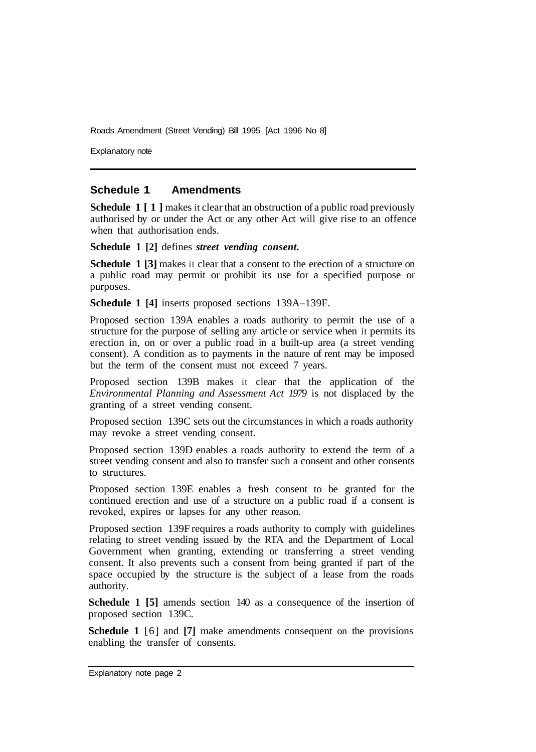Roads Amendment (Street Vending) Bill 1995 [Act 1996 No 8]

Explanatory note

#### **Schedule 1 Amendments**

**Schedule 1** [1] makes it clear that an obstruction of a public road previously authorised by or under the Act or any other Act will give rise to an offence when that authorisation ends.

**Schedule 1 [2]** defines *street vending consent.* 

**Schedule 1 [3]** makes it clear that a consent to the erection of a structure on a public road may permit or prohibit its use for a specified purpose or purposes.

**Schedule 1 [4]** inserts proposed sections 139A–139F.

Proposed section 139A enables a roads authority to permit the use of a structure for the purpose of selling any article or service when it permits its erection in, on or over a public road in a built-up area (a street vending consent). A condition as to payments in the nature of rent may be imposed but the term of the consent must not exceed 7 years.

Proposed section 139B makes it clear that the application of the *Environmental Planning and Assessment Act 1979* is not displaced by the granting of a street vending consent.

Proposed section 139C sets out the circumstances in which a roads authority may revoke a street vending consent.

Proposed section 139D enables a roads authority to extend the term of a street vending consent and also to transfer such a consent and other consents to structures.

Proposed section 139E enables a fresh consent to be granted for the continued erection and use of a structure on a public road if a consent is revoked, expires or lapses for any other reason.

Proposed section 139F requires a roads authority to comply with guidelines relating to street vending issued by the RTA and the Department of Local Government when granting, extending or transferring a street vending consent. It also prevents such a consent from being granted if part of the space occupied by the structure is the subject of a lease from the roads authority.

**Schedule 1 [5]** amends section 140 as a consequence of the insertion of proposed section 139C.

**Schedule 1** [6] and **[7]** make amendments consequent on the provisions enabling the transfer of consents.

Explanatory note page 2